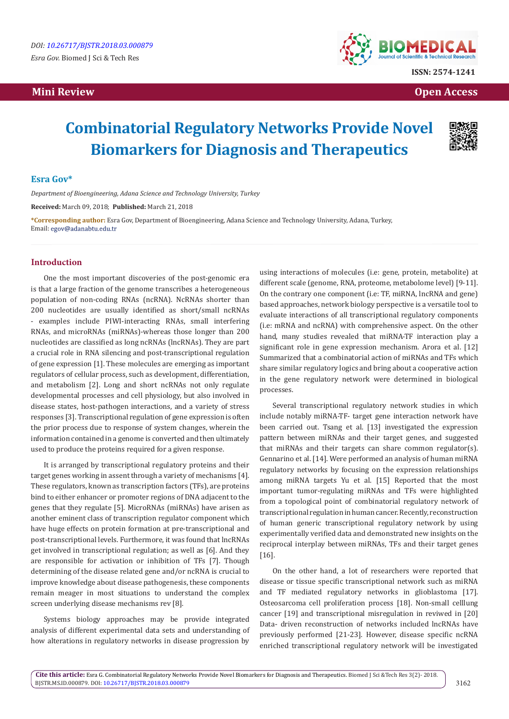# **Mini Review Open Access**



# **Combinatorial Regulatory Networks Provide Novel Biomarkers for Diagnosis and Therapeutics**



# **Esra Gov\***

*Department of Bioengineering, Adana Science and Technology University, Turkey*

**Received:** March 09, 2018; **Published:** March 21, 2018

**\*Corresponding author:** Esra Gov, Department of Bioengineering, Adana Science and Technology University, Adana, Turkey, Email: egov@adanabtu.edu.tr

# **Introduction**

One the most important discoveries of the post-genomic era is that a large fraction of the genome transcribes a heterogeneous population of non-coding RNAs (ncRNA). NcRNAs shorter than 200 nucleotides are usually identified as short/small ncRNAs - examples include PIWI-interacting RNAs, small interfering RNAs, and microRNAs (miRNAs)-whereas those longer than 200 nucleotides are classified as long ncRNAs (lncRNAs). They are part a crucial role in RNA silencing and post-transcriptional regulation of gene expression [1]. These molecules are emerging as important regulators of cellular process, such as development, differentiation, and metabolism [2]. Long and short ncRNAs not only regulate developmental processes and cell physiology, but also involved in disease states, host-pathogen interactions, and a variety of stress responses [3]. Transcriptional regulation of gene expression is often the prior process due to response of system changes, wherein the information contained in a genome is converted and then ultimately used to produce the proteins required for a given response.

It is arranged by transcriptional regulatory proteins and their target genes working in assent through a variety of mechanisms [4]. These regulators, known as transcription factors (TFs), are proteins bind to either enhancer or promoter regions of DNA adjacent to the genes that they regulate [5]. MicroRNAs (miRNAs) have arisen as another eminent class of transcription regulator component which have huge effects on protein formation at pre-transcriptional and post-transcriptional levels. Furthermore, it was found that lncRNAs get involved in transcriptional regulation; as well as [6]. And they are responsible for activation or inhibition of TFs [7]. Though determining of the disease related gene and/or ncRNA is crucial to improve knowledge about disease pathogenesis, these components remain meager in most situations to understand the complex screen underlying disease mechanisms rev [8].

Systems biology approaches may be provide integrated analysis of different experimental data sets and understanding of how alterations in regulatory networks in disease progression by

using interactions of molecules (i.e: gene, protein, metabolite) at different scale (genome, RNA, proteome, metabolome level) [9-11]. On the contrary one component (i.e: TF, miRNA, lncRNA and gene) based approaches, network biology perspective is a versatile tool to evaluate interactions of all transcriptional regulatory components (i.e: mRNA and ncRNA) with comprehensive aspect. On the other hand, many studies revealed that miRNA-TF interaction play a significant role in gene expression mechanism. Arora et al. [12] Summarized that a combinatorial action of miRNAs and TFs which share similar regulatory logics and bring about a cooperative action in the gene regulatory network were determined in biological processes.

Several transcriptional regulatory network studies in which include notably miRNA-TF- target gene interaction network have been carried out. Tsang et al. [13] investigated the expression pattern between miRNAs and their target genes, and suggested that miRNAs and their targets can share common regulator(s). Gennarino et al. [14]. Were performed an analysis of human miRNA regulatory networks by focusing on the expression relationships among miRNA targets Yu et al. [15] Reported that the most important tumor-regulating miRNAs and TFs were highlighted from a topological point of combinatorial regulatory network of transcriptional regulation in human cancer. Recently, reconstruction of human generic transcriptional regulatory network by using experimentally verified data and demonstrated new insights on the reciprocal interplay between miRNAs, TFs and their target genes [16].

On the other hand, a lot of researchers were reported that disease or tissue specific transcriptional network such as miRNA and TF mediated regulatory networks in glioblastoma [17]. Osteosarcoma cell proliferation process [18]. Non-small celllung cancer [19] and transcriptional misregulation in reviwed in [20] Data- driven reconstruction of networks included lncRNAs have previously performed [21-23]. However, disease specific ncRNA enriched transcriptional regulatory network will be investigated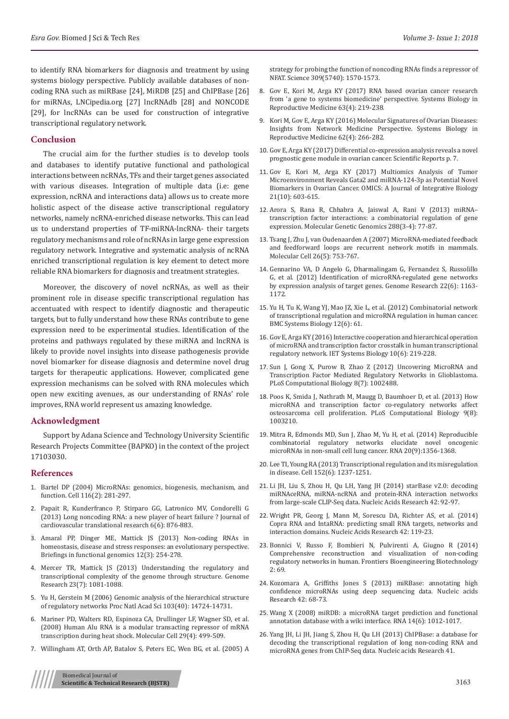to identify RNA biomarkers for diagnosis and treatment by using systems biology perspective. Publicly available databases of noncoding RNA such as miRBase [24], MiRDB [25] and ChIPBase [26] for miRNAs, LNCipedia.org [27] lncRNAdb [28] and NONCODE [29], for lncRNAs can be used for construction of integrative transcriptional regulatory network.

### **Conclusion**

The crucial aim for the further studies is to develop tools and databases to identify putative functional and pathological interactions between ncRNAs, TFs and their target genes associated with various diseases. Integration of multiple data (i.e: gene expression, ncRNA and interactions data) allows us to create more holistic aspect of the disease active transcriptional regulatory networks, namely ncRNA-enriched disease networks. This can lead us to understand properties of TF-miRNA-lncRNA- their targets regulatory mechanisms and role of ncRNAs in large gene expression regulatory network. Integrative and systematic analysis of ncRNA enriched transcriptional regulation is key element to detect more reliable RNA biomarkers for diagnosis and treatment strategies.

Moreover, the discovery of novel ncRNAs, as well as their prominent role in disease specific transcriptional regulation has accentuated with respect to identify diagnostic and therapeutic targets, but to fully understand how these RNAs contribute to gene expression need to be experimental studies. Identification of the proteins and pathways regulated by these miRNA and lncRNA is likely to provide novel insights into disease pathogenesis provide novel biomarker for disease diagnosis and determine novel drug targets for therapeutic applications. However, complicated gene expression mechanisms can be solved with RNA molecules which open new exciting avenues, as our understanding of RNAs' role improves, RNA world represent us amazing knowledge.

#### **Acknowledgment**

Support by Adana Science and Technology University Scientific Research Projects Committee (BAPKO) in the context of the project 17103030.

#### **References**

- 1. [Bartel DP \(2004\) MicroRNAs: genomics, biogenesis, mechanism, and](https://www.ncbi.nlm.nih.gov/pubmed/14744438)  [function. Cell 116\(2\): 281-297.](https://www.ncbi.nlm.nih.gov/pubmed/14744438)
- 2. [Papait R, Kunderfranco P, Stirparo GG, Latronico MV, Condorelli G](https://link.springer.com/article/10.1007/s12265-013-9488-6)  [\(2013\) Long noncoding RNA: a new player of heart failure ? Journal of](https://link.springer.com/article/10.1007/s12265-013-9488-6)  [cardiovascular translational research 6\(6\): 876-883.](https://link.springer.com/article/10.1007/s12265-013-9488-6)
- 3. [Amaral PP, Dinger ME, Mattick JS \(2013\) Non-coding RNAs in](https://www.ncbi.nlm.nih.gov/pubmed/23709461)  [homeostasis, disease and stress responses: an evolutionary perspective.](https://www.ncbi.nlm.nih.gov/pubmed/23709461)  [Briefings in functional genomics 12\(3\): 254-278.](https://www.ncbi.nlm.nih.gov/pubmed/23709461)
- 4. [Mercer TR, Mattick JS \(2013\) Understanding the regulatory and](https://www.ncbi.nlm.nih.gov/pubmed/23817049/)  [transcriptional complexity of the genome through structure. Genome](https://www.ncbi.nlm.nih.gov/pubmed/23817049/)  [Research 23\(7\): 1081-1088.](https://www.ncbi.nlm.nih.gov/pubmed/23817049/)
- 5. [Yu H, Gerstein M \(2006\) Genomic analysis of the hierarchical structure](http://www.pnas.org/content/103/40/14724)  [of regulatory networks Proc Natl Acad Sci 103\(40\): 14724-14731.](http://www.pnas.org/content/103/40/14724)
- 6. [Mariner PD, Walters RD, Espinoza CA, Drullinger LF, Wagner SD, et al.](https://www.ncbi.nlm.nih.gov/pubmed/18313387)  [\(2008\) Human Alu RNA is a modular transacting repressor of mRNA](https://www.ncbi.nlm.nih.gov/pubmed/18313387)  [transcription during heat shock. Molecular Cell 29\(4\): 499-509.](https://www.ncbi.nlm.nih.gov/pubmed/18313387)
- 7. [Willingham AT, Orth AP, Batalov S, Peters EC, Wen BG, et al. \(2005\) A](https://www.ncbi.nlm.nih.gov/pubmed/16141075)

[strategy for probing the function of noncoding RNAs finds a repressor of](https://www.ncbi.nlm.nih.gov/pubmed/16141075) [NFAT. Science 309\(5740\): 1570-1573.](https://www.ncbi.nlm.nih.gov/pubmed/16141075)

- 8. [Gov E, Kori M, Arga KY \(2017\) RNA based ovarian cancer research](https://www.ncbi.nlm.nih.gov/pubmed/28574782) [from 'a gene to systems biomedicine' perspective. Systems Biology in](https://www.ncbi.nlm.nih.gov/pubmed/28574782) [Reproductive Medicine 63\(4\): 219-238.](https://www.ncbi.nlm.nih.gov/pubmed/28574782)
- 9. [Kori M, Gov E, Arga KY \(2016\) Molecular Signatures of Ovarian Diseases:](https://www.ncbi.nlm.nih.gov/pubmed/27341345) [Insights from Network Medicine Perspective. Systems Biology in](https://www.ncbi.nlm.nih.gov/pubmed/27341345) [Reproductive Medicine 62\(4\): 266-282.](https://www.ncbi.nlm.nih.gov/pubmed/27341345)
- 10. [Gov E, Arga KY \(2017\) Differential co-expression analysis reveals a novel](https://www.nature.com/articles/s41598-017-05298-w) [prognostic gene module in ovarian cancer. Scientific Reports p. 7.](https://www.nature.com/articles/s41598-017-05298-w)
- 11. [Gov E, Kori M, Arga KY \(2017\) Multiomics Analysis of Tumor](https://www.ncbi.nlm.nih.gov/pubmed/28937943) [Microenvironment Reveals Gata2 and miRNA-124-3p as Potential Novel](https://www.ncbi.nlm.nih.gov/pubmed/28937943) [Biomarkers in Ovarian Cancer. OMICS: A Journal of Integrative Biology](https://www.ncbi.nlm.nih.gov/pubmed/28937943) [21\(10\): 603-615.](https://www.ncbi.nlm.nih.gov/pubmed/28937943)
- 12. [Arora S, Rana R, Chhabra A, Jaiswal A, Rani V \(2013\) miRNA–](https://www.ncbi.nlm.nih.gov/pubmed/23334784) [transcription factor interactions: a combinatorial regulation of gene](https://www.ncbi.nlm.nih.gov/pubmed/23334784) [expression. Molecular Genetic Genomics 288\(3-4\): 77-87.](https://www.ncbi.nlm.nih.gov/pubmed/23334784)
- 13. [Tsang J, Zhu J, van Oudenaarden A \(2007\) MicroRNA-mediated feedback](https://www.ncbi.nlm.nih.gov/pubmed/17560377) [and feedforward loops are recurrent network motifs in mammals.](https://www.ncbi.nlm.nih.gov/pubmed/17560377) [Molecular Cell 26\(5\): 753-767.](https://www.ncbi.nlm.nih.gov/pubmed/17560377)
- 14. [Gennarino VA, D Angelo G, Dharmalingam G, Fernandez S, Russolillo](https://www.ncbi.nlm.nih.gov/pubmed/22345618) [G, et al. \(2012\) Identification of microRNA-regulated gene networks](https://www.ncbi.nlm.nih.gov/pubmed/22345618) [by expression analysis of target genes. Genome Research 22\(6\): 1163-](https://www.ncbi.nlm.nih.gov/pubmed/22345618) [1172.](https://www.ncbi.nlm.nih.gov/pubmed/22345618)
- 15. [Yu H, Tu K, Wang YJ, Mao JZ, Xie L, et al. \(2012\) Combinatorial network](https://www.ncbi.nlm.nih.gov/pubmed/22691419) [of transcriptional regulation and microRNA regulation in human cancer.](https://www.ncbi.nlm.nih.gov/pubmed/22691419) [BMC Systems Biology 12\(6\): 61.](https://www.ncbi.nlm.nih.gov/pubmed/22691419)
- 16. [Gov E, Arga KY \(2016\) Interactive cooperation and hierarchical operation](https://www.ncbi.nlm.nih.gov/pubmed/27879476) [of microRNA and transcription factor crosstalk in human transcriptional](https://www.ncbi.nlm.nih.gov/pubmed/27879476) [regulatory network. IET Systems Biology 10\(6\): 219-228.](https://www.ncbi.nlm.nih.gov/pubmed/27879476)
- 17. [Sun J, Gong X, Purow B, Zhao Z \(2012\) Uncovering MicroRNA and](http://journals.plos.org/ploscompbiol/article?id=10.1371/journal.pcbi.1002488) [Transcription Factor Mediated Regulatory Networks in Glioblastoma.](http://journals.plos.org/ploscompbiol/article?id=10.1371/journal.pcbi.1002488) [PLoS Computational Biology 8\(7\): 1002488.](http://journals.plos.org/ploscompbiol/article?id=10.1371/journal.pcbi.1002488)
- 18. [Poos K, Smida J, Nathrath M, Maugg D, Baumhoer D, et al. \(2013\) How](https://www.ncbi.nlm.nih.gov/pubmed/24009496) [microRNA and transcription factor co-regulatory networks affect](https://www.ncbi.nlm.nih.gov/pubmed/24009496) [osteosarcoma cell proliferation. PLoS Computational Biology 9\(8\):](https://www.ncbi.nlm.nih.gov/pubmed/24009496) [1003210.](https://www.ncbi.nlm.nih.gov/pubmed/24009496)
- 19. [Mitra R, Edmonds MD, Sun J, Zhao M, Yu H, et al. \(2014\) Reproducible](https://www.ncbi.nlm.nih.gov/pubmed/25024357) [combinatorial regulatory networks elucidate novel oncogenic](https://www.ncbi.nlm.nih.gov/pubmed/25024357) [microRNAs in non-small cell lung cancer. RNA 20\(9\):1356-1368.](https://www.ncbi.nlm.nih.gov/pubmed/25024357)
- 20. [Lee TI, Young RA \(2013\) Transcriptional regulation and its misregulation](https://www.ncbi.nlm.nih.gov/pubmed/23498934) [in disease. Cell 152\(6\): 1237-1251.](https://www.ncbi.nlm.nih.gov/pubmed/23498934)
- 21. [Li JH, Liu S, Zhou H, Qu LH, Yang JH \(2014\) starBase v2.0: decoding](https://www.ncbi.nlm.nih.gov/pubmed/24297251) [miRNAceRNA, miRNA-ncRNA and protein-RNA interaction networks](https://www.ncbi.nlm.nih.gov/pubmed/24297251) [from large-scale CLIP-Seq data. Nucleic Acids Research 42: 92-97.](https://www.ncbi.nlm.nih.gov/pubmed/24297251)
- 22. [Wright PR, Georg J, Mann M, Sorescu DA, Richter AS, et al. \(2014\)](https://www.ncbi.nlm.nih.gov/pubmed/24838564/) [Copra RNA and IntaRNA: predicting small RNA targets, networks and](https://www.ncbi.nlm.nih.gov/pubmed/24838564/) [interaction domains. Nucleic Acids Research 42: 119-23.](https://www.ncbi.nlm.nih.gov/pubmed/24838564/)
- 23. [Bonnici V, Russo F, Bombieri N, Pulvirenti A, Giugno R \(2014\)](https://www.ncbi.nlm.nih.gov/pubmed/25540777/) [Comprehensive reconstruction and visualization of non-coding](https://www.ncbi.nlm.nih.gov/pubmed/25540777/) [regulatory networks in human. Frontiers Bioengineering Biotechnology](https://www.ncbi.nlm.nih.gov/pubmed/25540777/)  $2:69.$
- 24. [Kozomara A, Griffiths Jones S \(2013\) miRBase: annotating high](https://www.ncbi.nlm.nih.gov/pubmed/24275495) [confidence microRNAs using deep sequencing data. Nucleic acids](https://www.ncbi.nlm.nih.gov/pubmed/24275495) [Research 42: 68-73.](https://www.ncbi.nlm.nih.gov/pubmed/24275495)
- 25. [Wang X \(2008\) miRDB: a microRNA target prediction and functional](https://www.ncbi.nlm.nih.gov/pubmed/18426918) [annotation database with a wiki interface. RNA 14\(6\): 1012-1017.](https://www.ncbi.nlm.nih.gov/pubmed/18426918)
- 26. [Yang JH, Li JH, Jiang S, Zhou H, Qu LH \(2013\) ChIPBase: a database for](https://www.ncbi.nlm.nih.gov/pubmed/23161675) [decoding the transcriptional regulation of long non-coding RNA and](https://www.ncbi.nlm.nih.gov/pubmed/23161675) [microRNA genes from ChIP-Seq data. Nucleic acids Research 41.](https://www.ncbi.nlm.nih.gov/pubmed/23161675)